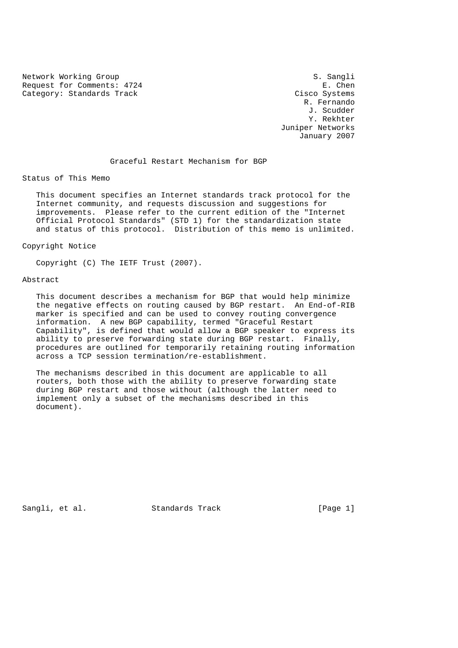Network Working Group S. Sangli<br>Request for Comments: 4724 E. Chen Request for Comments: 4724 Category: Standards Track Cisco Systems

 R. Fernando J. Scudder Y. Rekhter Juniper Networks January 2007

Graceful Restart Mechanism for BGP

Status of This Memo

 This document specifies an Internet standards track protocol for the Internet community, and requests discussion and suggestions for improvements. Please refer to the current edition of the "Internet Official Protocol Standards" (STD 1) for the standardization state and status of this protocol. Distribution of this memo is unlimited.

Copyright Notice

Copyright (C) The IETF Trust (2007).

### Abstract

 This document describes a mechanism for BGP that would help minimize the negative effects on routing caused by BGP restart. An End-of-RIB marker is specified and can be used to convey routing convergence information. A new BGP capability, termed "Graceful Restart Capability", is defined that would allow a BGP speaker to express its ability to preserve forwarding state during BGP restart. Finally, procedures are outlined for temporarily retaining routing information across a TCP session termination/re-establishment.

 The mechanisms described in this document are applicable to all routers, both those with the ability to preserve forwarding state during BGP restart and those without (although the latter need to implement only a subset of the mechanisms described in this document).

Sangli, et al. Standards Track [Page 1]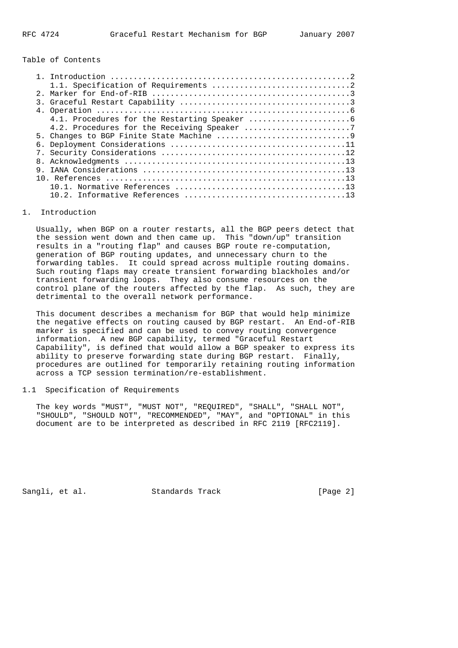Table of Contents

### 1. Introduction

 Usually, when BGP on a router restarts, all the BGP peers detect that the session went down and then came up. This "down/up" transition results in a "routing flap" and causes BGP route re-computation, generation of BGP routing updates, and unnecessary churn to the forwarding tables. It could spread across multiple routing domains. Such routing flaps may create transient forwarding blackholes and/or transient forwarding loops. They also consume resources on the control plane of the routers affected by the flap. As such, they are detrimental to the overall network performance.

 This document describes a mechanism for BGP that would help minimize the negative effects on routing caused by BGP restart. An End-of-RIB marker is specified and can be used to convey routing convergence information. A new BGP capability, termed "Graceful Restart Capability", is defined that would allow a BGP speaker to express its ability to preserve forwarding state during BGP restart. Finally, procedures are outlined for temporarily retaining routing information across a TCP session termination/re-establishment.

## 1.1 Specification of Requirements

The key words "MUST", "MUST NOT", "REQUIRED", "SHALL", "SHALL NOT", "SHOULD", "SHOULD NOT", "RECOMMENDED", "MAY", and "OPTIONAL" in this document are to be interpreted as described in RFC 2119 [RFC2119].

Sangli, et al. Standards Track [Page 2]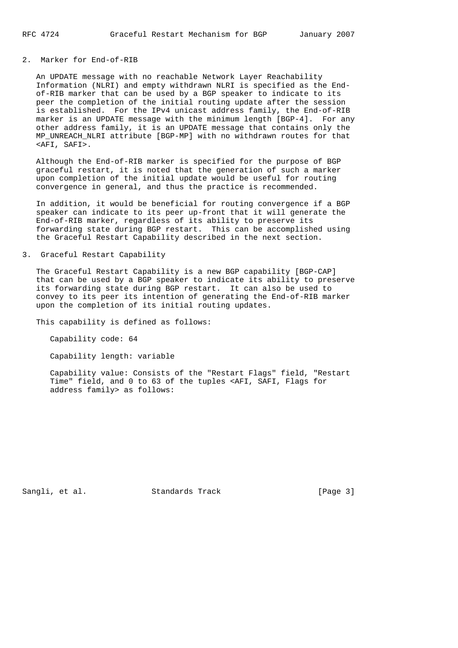### 2. Marker for End-of-RIB

 An UPDATE message with no reachable Network Layer Reachability Information (NLRI) and empty withdrawn NLRI is specified as the End of-RIB marker that can be used by a BGP speaker to indicate to its peer the completion of the initial routing update after the session is established. For the IPv4 unicast address family, the End-of-RIB marker is an UPDATE message with the minimum length [BGP-4]. For any other address family, it is an UPDATE message that contains only the MP\_UNREACH\_NLRI attribute [BGP-MP] with no withdrawn routes for that <AFI, SAFI>.

 Although the End-of-RIB marker is specified for the purpose of BGP graceful restart, it is noted that the generation of such a marker upon completion of the initial update would be useful for routing convergence in general, and thus the practice is recommended.

 In addition, it would be beneficial for routing convergence if a BGP speaker can indicate to its peer up-front that it will generate the End-of-RIB marker, regardless of its ability to preserve its forwarding state during BGP restart. This can be accomplished using the Graceful Restart Capability described in the next section.

#### 3. Graceful Restart Capability

 The Graceful Restart Capability is a new BGP capability [BGP-CAP] that can be used by a BGP speaker to indicate its ability to preserve its forwarding state during BGP restart. It can also be used to convey to its peer its intention of generating the End-of-RIB marker upon the completion of its initial routing updates.

This capability is defined as follows:

Capability code: 64

Capability length: variable

 Capability value: Consists of the "Restart Flags" field, "Restart Time" field, and 0 to 63 of the tuples <AFI, SAFI, Flags for address family> as follows:

Sangli, et al. Standards Track [Page 3]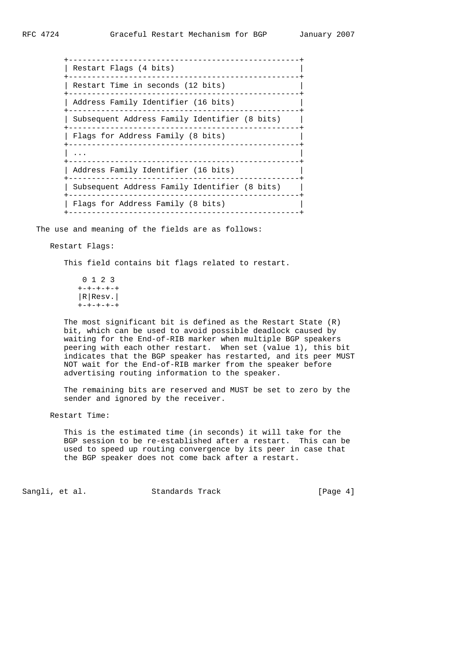| Restart Flags (4 bits)                        |
|-----------------------------------------------|
| Restart Time in seconds (12 bits)             |
| Address Family Identifier (16 bits)           |
| Subsequent Address Family Identifier (8 bits) |
| Flags for Address Family (8 bits)             |
|                                               |
| Address Family Identifier (16 bits)           |
| Subsequent Address Family Identifier (8 bits) |
| Flags for Address Family (8 bits)             |
|                                               |

The use and meaning of the fields are as follows:

## Restart Flags:

This field contains bit flags related to restart.

 0 1 2 3 +-+-+-+-+ |R|Resv.| +-+-+-+-+

 The most significant bit is defined as the Restart State (R) bit, which can be used to avoid possible deadlock caused by waiting for the End-of-RIB marker when multiple BGP speakers peering with each other restart. When set (value 1), this bit indicates that the BGP speaker has restarted, and its peer MUST NOT wait for the End-of-RIB marker from the speaker before advertising routing information to the speaker.

 The remaining bits are reserved and MUST be set to zero by the sender and ignored by the receiver.

Restart Time:

 This is the estimated time (in seconds) it will take for the BGP session to be re-established after a restart. This can be used to speed up routing convergence by its peer in case that the BGP speaker does not come back after a restart.

Sangli, et al. Standards Track [Page 4]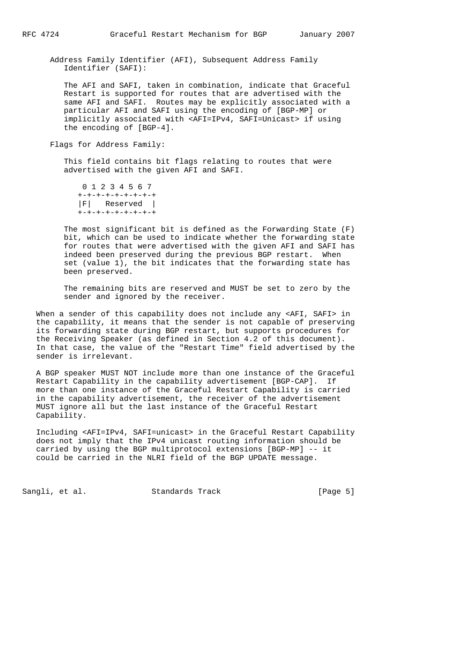Address Family Identifier (AFI), Subsequent Address Family Identifier (SAFI):

 The AFI and SAFI, taken in combination, indicate that Graceful Restart is supported for routes that are advertised with the same AFI and SAFI. Routes may be explicitly associated with a particular AFI and SAFI using the encoding of [BGP-MP] or implicitly associated with <AFI=IPv4, SAFI=Unicast> if using the encoding of [BGP-4].

Flags for Address Family:

 This field contains bit flags relating to routes that were advertised with the given AFI and SAFI.

 0 1 2 3 4 5 6 7 +-+-+-+-+-+-+-+-+ |F| Reserved | +-+-+-+-+-+-+-+-+

 The most significant bit is defined as the Forwarding State (F) bit, which can be used to indicate whether the forwarding state for routes that were advertised with the given AFI and SAFI has indeed been preserved during the previous BGP restart. When set (value 1), the bit indicates that the forwarding state has been preserved.

 The remaining bits are reserved and MUST be set to zero by the sender and ignored by the receiver.

 When a sender of this capability does not include any <AFI, SAFI> in the capability, it means that the sender is not capable of preserving its forwarding state during BGP restart, but supports procedures for the Receiving Speaker (as defined in Section 4.2 of this document). In that case, the value of the "Restart Time" field advertised by the sender is irrelevant.

 A BGP speaker MUST NOT include more than one instance of the Graceful Restart Capability in the capability advertisement [BGP-CAP]. If more than one instance of the Graceful Restart Capability is carried in the capability advertisement, the receiver of the advertisement MUST ignore all but the last instance of the Graceful Restart Capability.

 Including <AFI=IPv4, SAFI=unicast> in the Graceful Restart Capability does not imply that the IPv4 unicast routing information should be carried by using the BGP multiprotocol extensions [BGP-MP] -- it could be carried in the NLRI field of the BGP UPDATE message.

Sangli, et al. Standards Track [Page 5]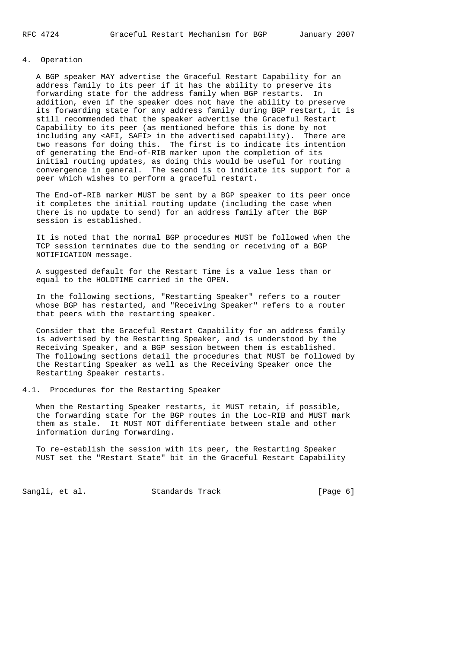# 4. Operation

 A BGP speaker MAY advertise the Graceful Restart Capability for an address family to its peer if it has the ability to preserve its forwarding state for the address family when BGP restarts. In addition, even if the speaker does not have the ability to preserve its forwarding state for any address family during BGP restart, it is still recommended that the speaker advertise the Graceful Restart Capability to its peer (as mentioned before this is done by not including any <AFI, SAFI> in the advertised capability). There are two reasons for doing this. The first is to indicate its intention of generating the End-of-RIB marker upon the completion of its initial routing updates, as doing this would be useful for routing convergence in general. The second is to indicate its support for a peer which wishes to perform a graceful restart.

 The End-of-RIB marker MUST be sent by a BGP speaker to its peer once it completes the initial routing update (including the case when there is no update to send) for an address family after the BGP session is established.

 It is noted that the normal BGP procedures MUST be followed when the TCP session terminates due to the sending or receiving of a BGP NOTIFICATION message.

 A suggested default for the Restart Time is a value less than or equal to the HOLDTIME carried in the OPEN.

 In the following sections, "Restarting Speaker" refers to a router whose BGP has restarted, and "Receiving Speaker" refers to a router that peers with the restarting speaker.

 Consider that the Graceful Restart Capability for an address family is advertised by the Restarting Speaker, and is understood by the Receiving Speaker, and a BGP session between them is established. The following sections detail the procedures that MUST be followed by the Restarting Speaker as well as the Receiving Speaker once the Restarting Speaker restarts.

4.1. Procedures for the Restarting Speaker

 When the Restarting Speaker restarts, it MUST retain, if possible, the forwarding state for the BGP routes in the Loc-RIB and MUST mark them as stale. It MUST NOT differentiate between stale and other information during forwarding.

 To re-establish the session with its peer, the Restarting Speaker MUST set the "Restart State" bit in the Graceful Restart Capability

Sangli, et al. Standards Track [Page 6]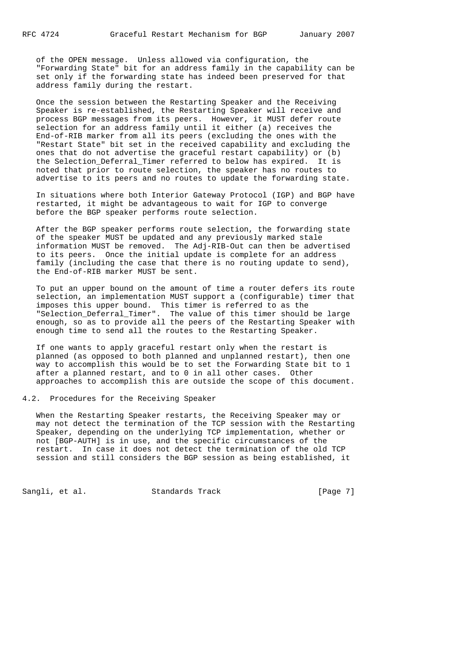of the OPEN message. Unless allowed via configuration, the "Forwarding State" bit for an address family in the capability can be set only if the forwarding state has indeed been preserved for that address family during the restart.

 Once the session between the Restarting Speaker and the Receiving Speaker is re-established, the Restarting Speaker will receive and process BGP messages from its peers. However, it MUST defer route selection for an address family until it either (a) receives the End-of-RIB marker from all its peers (excluding the ones with the "Restart State" bit set in the received capability and excluding the ones that do not advertise the graceful restart capability) or (b) the Selection\_Deferral\_Timer referred to below has expired. It is noted that prior to route selection, the speaker has no routes to advertise to its peers and no routes to update the forwarding state.

 In situations where both Interior Gateway Protocol (IGP) and BGP have restarted, it might be advantageous to wait for IGP to converge before the BGP speaker performs route selection.

 After the BGP speaker performs route selection, the forwarding state of the speaker MUST be updated and any previously marked stale information MUST be removed. The Adj-RIB-Out can then be advertised to its peers. Once the initial update is complete for an address family (including the case that there is no routing update to send), the End-of-RIB marker MUST be sent.

 To put an upper bound on the amount of time a router defers its route selection, an implementation MUST support a (configurable) timer that imposes this upper bound. This timer is referred to as the "Selection\_Deferral\_Timer". The value of this timer should be large enough, so as to provide all the peers of the Restarting Speaker with enough time to send all the routes to the Restarting Speaker.

 If one wants to apply graceful restart only when the restart is planned (as opposed to both planned and unplanned restart), then one way to accomplish this would be to set the Forwarding State bit to 1 after a planned restart, and to 0 in all other cases. Other approaches to accomplish this are outside the scope of this document.

4.2. Procedures for the Receiving Speaker

 When the Restarting Speaker restarts, the Receiving Speaker may or may not detect the termination of the TCP session with the Restarting Speaker, depending on the underlying TCP implementation, whether or not [BGP-AUTH] is in use, and the specific circumstances of the restart. In case it does not detect the termination of the old TCP session and still considers the BGP session as being established, it

Sangli, et al. Standards Track [Page 7]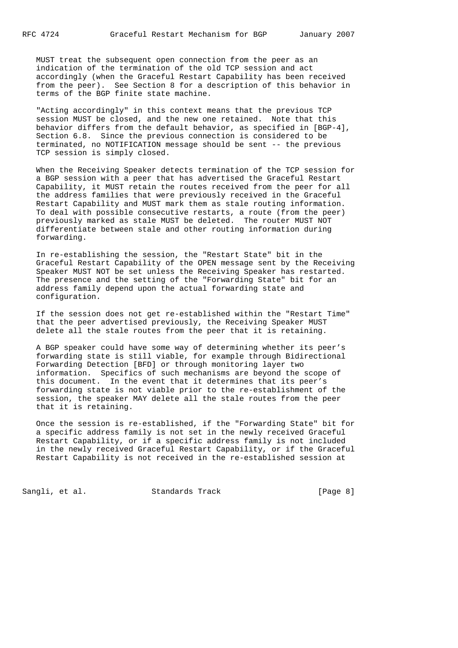MUST treat the subsequent open connection from the peer as an indication of the termination of the old TCP session and act accordingly (when the Graceful Restart Capability has been received from the peer). See Section 8 for a description of this behavior in terms of the BGP finite state machine.

 "Acting accordingly" in this context means that the previous TCP session MUST be closed, and the new one retained. Note that this behavior differs from the default behavior, as specified in [BGP-4], Section 6.8. Since the previous connection is considered to be terminated, no NOTIFICATION message should be sent -- the previous TCP session is simply closed.

 When the Receiving Speaker detects termination of the TCP session for a BGP session with a peer that has advertised the Graceful Restart Capability, it MUST retain the routes received from the peer for all the address families that were previously received in the Graceful Restart Capability and MUST mark them as stale routing information. To deal with possible consecutive restarts, a route (from the peer) previously marked as stale MUST be deleted. The router MUST NOT differentiate between stale and other routing information during forwarding.

 In re-establishing the session, the "Restart State" bit in the Graceful Restart Capability of the OPEN message sent by the Receiving Speaker MUST NOT be set unless the Receiving Speaker has restarted. The presence and the setting of the "Forwarding State" bit for an address family depend upon the actual forwarding state and configuration.

 If the session does not get re-established within the "Restart Time" that the peer advertised previously, the Receiving Speaker MUST delete all the stale routes from the peer that it is retaining.

 A BGP speaker could have some way of determining whether its peer's forwarding state is still viable, for example through Bidirectional Forwarding Detection [BFD] or through monitoring layer two information. Specifics of such mechanisms are beyond the scope of this document. In the event that it determines that its peer's forwarding state is not viable prior to the re-establishment of the session, the speaker MAY delete all the stale routes from the peer that it is retaining.

 Once the session is re-established, if the "Forwarding State" bit for a specific address family is not set in the newly received Graceful Restart Capability, or if a specific address family is not included in the newly received Graceful Restart Capability, or if the Graceful Restart Capability is not received in the re-established session at

Sangli, et al. Standards Track [Page 8]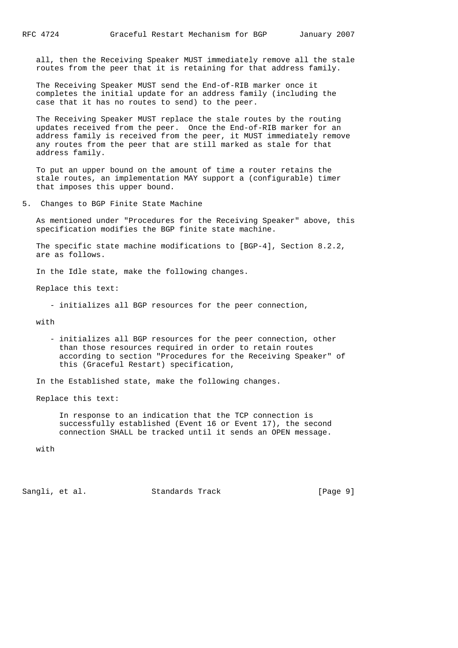all, then the Receiving Speaker MUST immediately remove all the stale routes from the peer that it is retaining for that address family.

 The Receiving Speaker MUST send the End-of-RIB marker once it completes the initial update for an address family (including the case that it has no routes to send) to the peer.

 The Receiving Speaker MUST replace the stale routes by the routing updates received from the peer. Once the End-of-RIB marker for an address family is received from the peer, it MUST immediately remove any routes from the peer that are still marked as stale for that address family.

 To put an upper bound on the amount of time a router retains the stale routes, an implementation MAY support a (configurable) timer that imposes this upper bound.

5. Changes to BGP Finite State Machine

 As mentioned under "Procedures for the Receiving Speaker" above, this specification modifies the BGP finite state machine.

 The specific state machine modifications to [BGP-4], Section 8.2.2, are as follows.

In the Idle state, make the following changes.

Replace this text:

- initializes all BGP resources for the peer connection,

with

 - initializes all BGP resources for the peer connection, other than those resources required in order to retain routes according to section "Procedures for the Receiving Speaker" of this (Graceful Restart) specification,

In the Established state, make the following changes.

Replace this text:

 In response to an indication that the TCP connection is successfully established (Event 16 or Event 17), the second connection SHALL be tracked until it sends an OPEN message.

with

Sangli, et al. Standards Track [Page 9]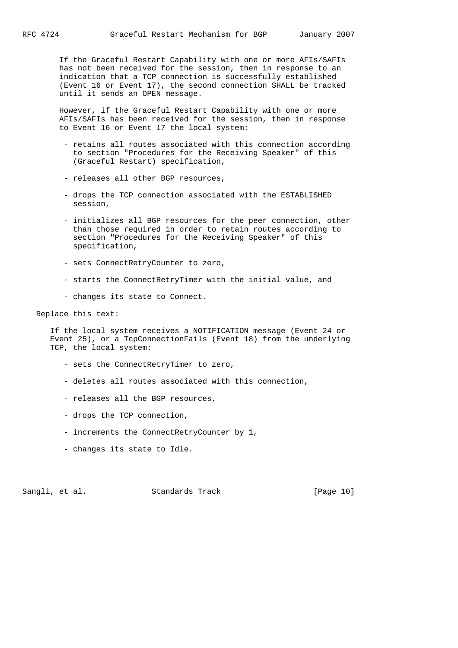If the Graceful Restart Capability with one or more AFIs/SAFIs has not been received for the session, then in response to an indication that a TCP connection is successfully established (Event 16 or Event 17), the second connection SHALL be tracked until it sends an OPEN message.

 However, if the Graceful Restart Capability with one or more AFIs/SAFIs has been received for the session, then in response to Event 16 or Event 17 the local system:

- retains all routes associated with this connection according to section "Procedures for the Receiving Speaker" of this (Graceful Restart) specification,
- releases all other BGP resources,
- drops the TCP connection associated with the ESTABLISHED session,
- initializes all BGP resources for the peer connection, other than those required in order to retain routes according to section "Procedures for the Receiving Speaker" of this specification,
- sets ConnectRetryCounter to zero,
- starts the ConnectRetryTimer with the initial value, and
- changes its state to Connect.

Replace this text:

 If the local system receives a NOTIFICATION message (Event 24 or Event 25), or a TcpConnectionFails (Event 18) from the underlying TCP, the local system:

- sets the ConnectRetryTimer to zero,
- deletes all routes associated with this connection,
- releases all the BGP resources,
- drops the TCP connection,
- increments the ConnectRetryCounter by 1,
- changes its state to Idle.

Sangli, et al. Standards Track [Page 10]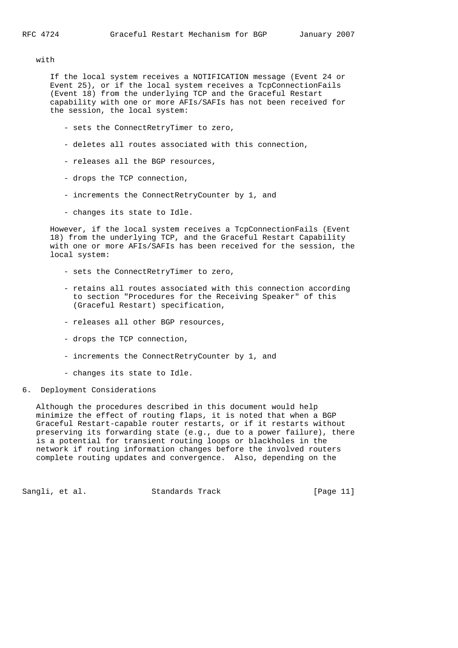with

 If the local system receives a NOTIFICATION message (Event 24 or Event 25), or if the local system receives a TcpConnectionFails (Event 18) from the underlying TCP and the Graceful Restart capability with one or more AFIs/SAFIs has not been received for the session, the local system:

- sets the ConnectRetryTimer to zero,
- deletes all routes associated with this connection,
- releases all the BGP resources,
- drops the TCP connection,
- increments the ConnectRetryCounter by 1, and
- changes its state to Idle.

 However, if the local system receives a TcpConnectionFails (Event 18) from the underlying TCP, and the Graceful Restart Capability with one or more AFIs/SAFIs has been received for the session, the local system:

- sets the ConnectRetryTimer to zero,
- retains all routes associated with this connection according to section "Procedures for the Receiving Speaker" of this (Graceful Restart) specification,
- releases all other BGP resources,
- drops the TCP connection,
- increments the ConnectRetryCounter by 1, and
- changes its state to Idle.
- 6. Deployment Considerations

 Although the procedures described in this document would help minimize the effect of routing flaps, it is noted that when a BGP Graceful Restart-capable router restarts, or if it restarts without preserving its forwarding state (e.g., due to a power failure), there is a potential for transient routing loops or blackholes in the network if routing information changes before the involved routers complete routing updates and convergence. Also, depending on the

Sangli, et al. Standards Track [Page 11]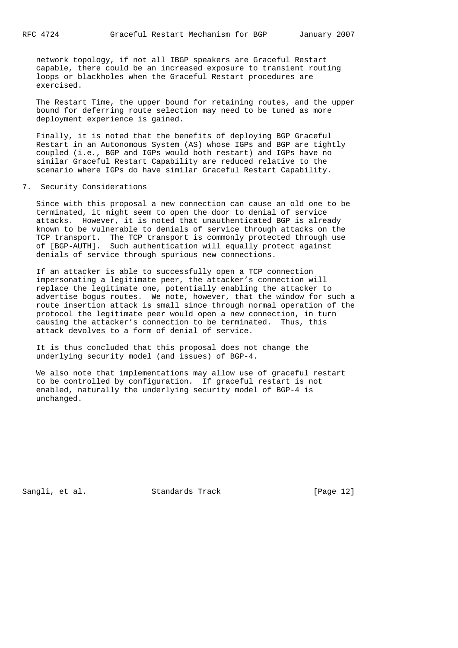network topology, if not all IBGP speakers are Graceful Restart capable, there could be an increased exposure to transient routing loops or blackholes when the Graceful Restart procedures are exercised.

 The Restart Time, the upper bound for retaining routes, and the upper bound for deferring route selection may need to be tuned as more deployment experience is gained.

 Finally, it is noted that the benefits of deploying BGP Graceful Restart in an Autonomous System (AS) whose IGPs and BGP are tightly coupled (i.e., BGP and IGPs would both restart) and IGPs have no similar Graceful Restart Capability are reduced relative to the scenario where IGPs do have similar Graceful Restart Capability.

7. Security Considerations

 Since with this proposal a new connection can cause an old one to be terminated, it might seem to open the door to denial of service attacks. However, it is noted that unauthenticated BGP is already known to be vulnerable to denials of service through attacks on the TCP transport. The TCP transport is commonly protected through use of [BGP-AUTH]. Such authentication will equally protect against denials of service through spurious new connections.

 If an attacker is able to successfully open a TCP connection impersonating a legitimate peer, the attacker's connection will replace the legitimate one, potentially enabling the attacker to advertise bogus routes. We note, however, that the window for such a route insertion attack is small since through normal operation of the protocol the legitimate peer would open a new connection, in turn causing the attacker's connection to be terminated. Thus, this attack devolves to a form of denial of service.

 It is thus concluded that this proposal does not change the underlying security model (and issues) of BGP-4.

 We also note that implementations may allow use of graceful restart to be controlled by configuration. If graceful restart is not enabled, naturally the underlying security model of BGP-4 is unchanged.

Sangli, et al. Standards Track [Page 12]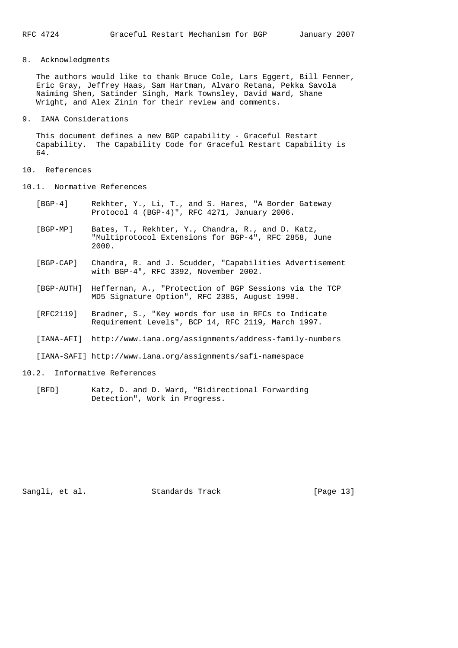## 8. Acknowledgments

 The authors would like to thank Bruce Cole, Lars Eggert, Bill Fenner, Eric Gray, Jeffrey Haas, Sam Hartman, Alvaro Retana, Pekka Savola Naiming Shen, Satinder Singh, Mark Townsley, David Ward, Shane Wright, and Alex Zinin for their review and comments.

### 9. IANA Considerations

This document defines a new BGP capability - Graceful Restart Capability. The Capability Code for Graceful Restart Capability is 64.

### 10. References

- 10.1. Normative References
	- [BGP-4] Rekhter, Y., Li, T., and S. Hares, "A Border Gateway Protocol 4 (BGP-4)", RFC 4271, January 2006.
	- [BGP-MP] Bates, T., Rekhter, Y., Chandra, R., and D. Katz, "Multiprotocol Extensions for BGP-4", RFC 2858, June 2000.
	- [BGP-CAP] Chandra, R. and J. Scudder, "Capabilities Advertisement with BGP-4", RFC 3392, November 2002.
	- [BGP-AUTH] Heffernan, A., "Protection of BGP Sessions via the TCP MD5 Signature Option", RFC 2385, August 1998.
	- [RFC2119] Bradner, S., "Key words for use in RFCs to Indicate Requirement Levels", BCP 14, RFC 2119, March 1997.
	- [IANA-AFI] http://www.iana.org/assignments/address-family-numbers

[IANA-SAFI] http://www.iana.org/assignments/safi-namespace

### 10.2. Informative References

 [BFD] Katz, D. and D. Ward, "Bidirectional Forwarding Detection", Work in Progress.

Sangli, et al. Standards Track [Page 13]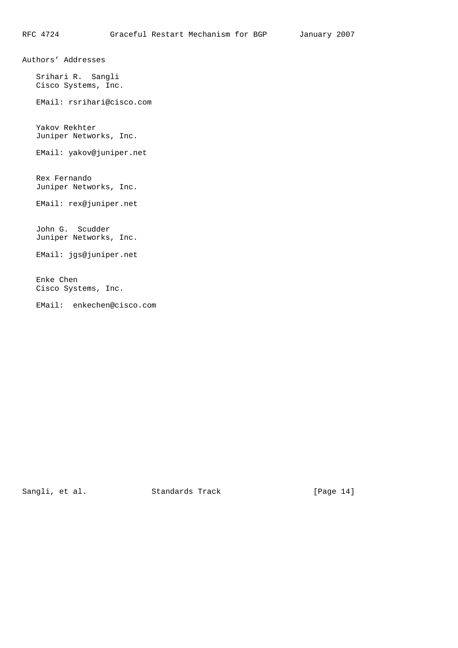Authors' Addresses

 Srihari R. Sangli Cisco Systems, Inc.

EMail: rsrihari@cisco.com

 Yakov Rekhter Juniper Networks, Inc.

EMail: yakov@juniper.net

 Rex Fernando Juniper Networks, Inc.

EMail: rex@juniper.net

 John G. Scudder Juniper Networks, Inc.

EMail: jgs@juniper.net

 Enke Chen Cisco Systems, Inc.

EMail: enkechen@cisco.com

Sangli, et al. Standards Track [Page 14]